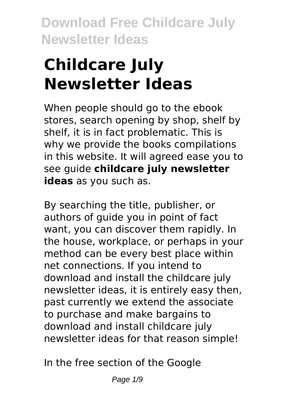# **Childcare July Newsletter Ideas**

When people should go to the ebook stores, search opening by shop, shelf by shelf, it is in fact problematic. This is why we provide the books compilations in this website. It will agreed ease you to see guide **childcare july newsletter ideas** as you such as.

By searching the title, publisher, or authors of guide you in point of fact want, you can discover them rapidly. In the house, workplace, or perhaps in your method can be every best place within net connections. If you intend to download and install the childcare july newsletter ideas, it is entirely easy then, past currently we extend the associate to purchase and make bargains to download and install childcare july newsletter ideas for that reason simple!

In the free section of the Google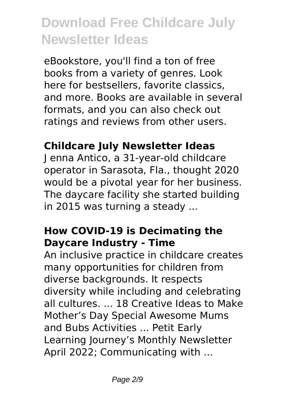eBookstore, you'll find a ton of free books from a variety of genres. Look here for bestsellers, favorite classics, and more. Books are available in several formats, and you can also check out ratings and reviews from other users.

### **Childcare July Newsletter Ideas**

J enna Antico, a 31-year-old childcare operator in Sarasota, Fla., thought 2020 would be a pivotal year for her business. The daycare facility she started building in 2015 was turning a steady ...

#### **How COVID-19 is Decimating the Daycare Industry - Time**

An inclusive practice in childcare creates many opportunities for children from diverse backgrounds. It respects diversity while including and celebrating all cultures. ... 18 Creative Ideas to Make Mother's Day Special Awesome Mums and Bubs Activities ... Petit Early Learning Journey's Monthly Newsletter April 2022; Communicating with ...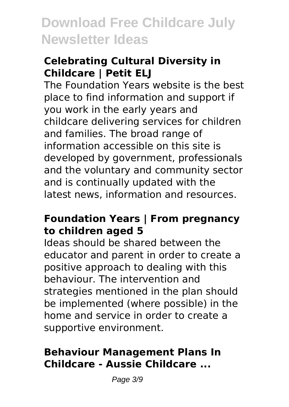### **Celebrating Cultural Diversity in Childcare | Petit ELJ**

The Foundation Years website is the best place to find information and support if you work in the early years and childcare delivering services for children and families. The broad range of information accessible on this site is developed by government, professionals and the voluntary and community sector and is continually updated with the latest news, information and resources.

#### **Foundation Years | From pregnancy to children aged 5**

Ideas should be shared between the educator and parent in order to create a positive approach to dealing with this behaviour. The intervention and strategies mentioned in the plan should be implemented (where possible) in the home and service in order to create a supportive environment.

#### **Behaviour Management Plans In Childcare - Aussie Childcare ...**

Page 3/9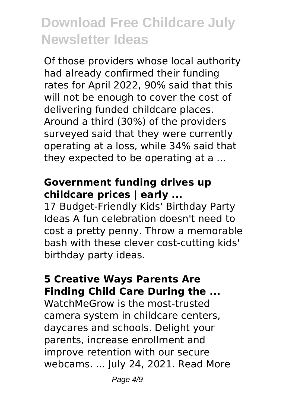Of those providers whose local authority had already confirmed their funding rates for April 2022, 90% said that this will not be enough to cover the cost of delivering funded childcare places. Around a third (30%) of the providers surveyed said that they were currently operating at a loss, while 34% said that they expected to be operating at a ...

#### **Government funding drives up childcare prices | early ...**

17 Budget-Friendly Kids' Birthday Party Ideas A fun celebration doesn't need to cost a pretty penny. Throw a memorable bash with these clever cost-cutting kids' birthday party ideas.

### **5 Creative Ways Parents Are Finding Child Care During the ...**

WatchMeGrow is the most-trusted camera system in childcare centers, daycares and schools. Delight your parents, increase enrollment and improve retention with our secure webcams. ... July 24, 2021. Read More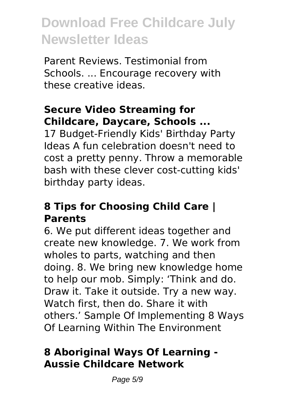Parent Reviews. Testimonial from Schools. ... Encourage recovery with these creative ideas.

### **Secure Video Streaming for Childcare, Daycare, Schools ...**

17 Budget-Friendly Kids' Birthday Party Ideas A fun celebration doesn't need to cost a pretty penny. Throw a memorable bash with these clever cost-cutting kids' birthday party ideas.

#### **8 Tips for Choosing Child Care | Parents**

6. We put different ideas together and create new knowledge. 7. We work from wholes to parts, watching and then doing. 8. We bring new knowledge home to help our mob. Simply: 'Think and do. Draw it. Take it outside. Try a new way. Watch first, then do. Share it with others.' Sample Of Implementing 8 Ways Of Learning Within The Environment

### **8 Aboriginal Ways Of Learning - Aussie Childcare Network**

Page 5/9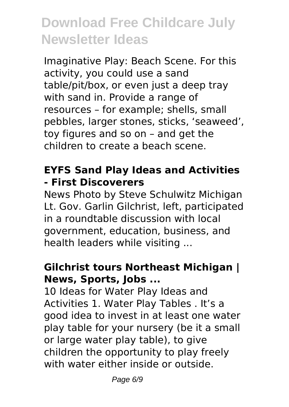Imaginative Play: Beach Scene. For this activity, you could use a sand table/pit/box, or even just a deep tray with sand in. Provide a range of resources – for example; shells, small pebbles, larger stones, sticks, 'seaweed', toy figures and so on – and get the children to create a beach scene.

#### **EYFS Sand Play Ideas and Activities - First Discoverers**

News Photo by Steve Schulwitz Michigan Lt. Gov. Garlin Gilchrist, left, participated in a roundtable discussion with local government, education, business, and health leaders while visiting ...

### **Gilchrist tours Northeast Michigan | News, Sports, Jobs ...**

10 Ideas for Water Play Ideas and Activities 1. Water Play Tables . It's a good idea to invest in at least one water play table for your nursery (be it a small or large water play table), to give children the opportunity to play freely with water either inside or outside.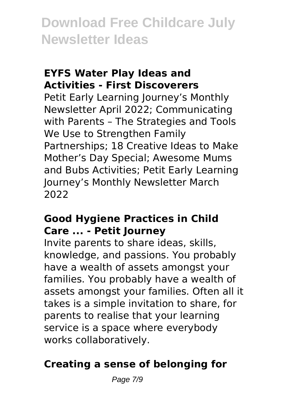#### **EYFS Water Play Ideas and Activities - First Discoverers**

Petit Early Learning Journey's Monthly Newsletter April 2022; Communicating with Parents – The Strategies and Tools We Use to Strengthen Family Partnerships; 18 Creative Ideas to Make Mother's Day Special; Awesome Mums and Bubs Activities; Petit Early Learning Journey's Monthly Newsletter March 2022

#### **Good Hygiene Practices in Child Care ... - Petit Journey**

Invite parents to share ideas, skills, knowledge, and passions. You probably have a wealth of assets amongst your families. You probably have a wealth of assets amongst your families. Often all it takes is a simple invitation to share, for parents to realise that your learning service is a space where everybody works collaboratively.

### **Creating a sense of belonging for**

Page 7/9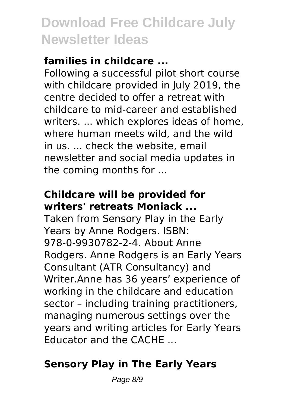### **families in childcare ...**

Following a successful pilot short course with childcare provided in July 2019, the centre decided to offer a retreat with childcare to mid-career and established writers. ... which explores ideas of home, where human meets wild, and the wild in us. ... check the website, email newsletter and social media updates in the coming months for ...

### **Childcare will be provided for writers' retreats Moniack ...**

Taken from Sensory Play in the Early Years by Anne Rodgers. ISBN: 978-0-9930782-2-4. About Anne Rodgers. Anne Rodgers is an Early Years Consultant (ATR Consultancy) and Writer.Anne has 36 years' experience of working in the childcare and education sector – including training practitioners, managing numerous settings over the years and writing articles for Early Years Educator and the CACHE ...

## **Sensory Play in The Early Years**

Page 8/9